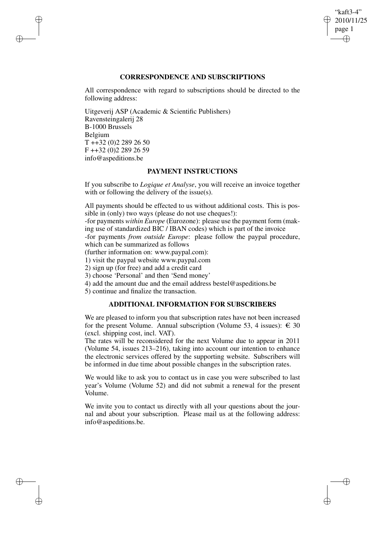## "kaft3-4" 2010/11/25 page 1 ✐ ✐

✐

✐

# **CORRESPONDENCE AND SUBSCRIPTIONS**

All correspondence with regard to subscriptions should be directed to the following address:

Uitgeverij ASP (Academic & Scientific Publishers) Ravensteingalerij 28 B-1000 Brussels Belgium T ++32 (0)2 289 26 50 F ++32 (0)2 289 26 59 info@aspeditions.be

✐

✐

✐

✐

## **PAYMENT INSTRUCTIONS**

If you subscribe to *Logique et Analyse*, you will receive an invoice together with or following the delivery of the issue(s).

All payments should be effected to us without additional costs. This is possible in (only) two ways (please do not use cheques!):

-for payments *within Europe* (Eurozone): please use the payment form (making use of standardized BIC / IBAN codes) which is part of the invoice

-for payments *from outside Europe*: please follow the paypal procedure, which can be summarized as follows

(further information on: www.paypal.com):

1) visit the paypal website www.paypal.com

2) sign up (for free) and add a credit card

3) choose 'Personal' and then 'Send money'

4) add the amount due and the email address bestel@aspeditions.be

5) continue and finalize the transaction.

# **ADDITIONAL INFORMATION FOR SUBSCRIBERS**

We are pleased to inform you that subscription rates have not been increased for the present Volume. Annual subscription (Volume 53, 4 issues):  $\in$  30 (excl. shipping cost, incl. VAT).

The rates will be reconsidered for the next Volume due to appear in 2011 (Volume 54, issues 213–216), taking into account our intention to enhance the electronic services offered by the supporting website. Subscribers will be informed in due time about possible changes in the subscription rates.

We would like to ask you to contact us in case you were subscribed to last year's Volume (Volume 52) and did not submit a renewal for the present Volume.

We invite you to contact us directly with all your questions about the journal and about your subscription. Please mail us at the following address: info@aspeditions.be.